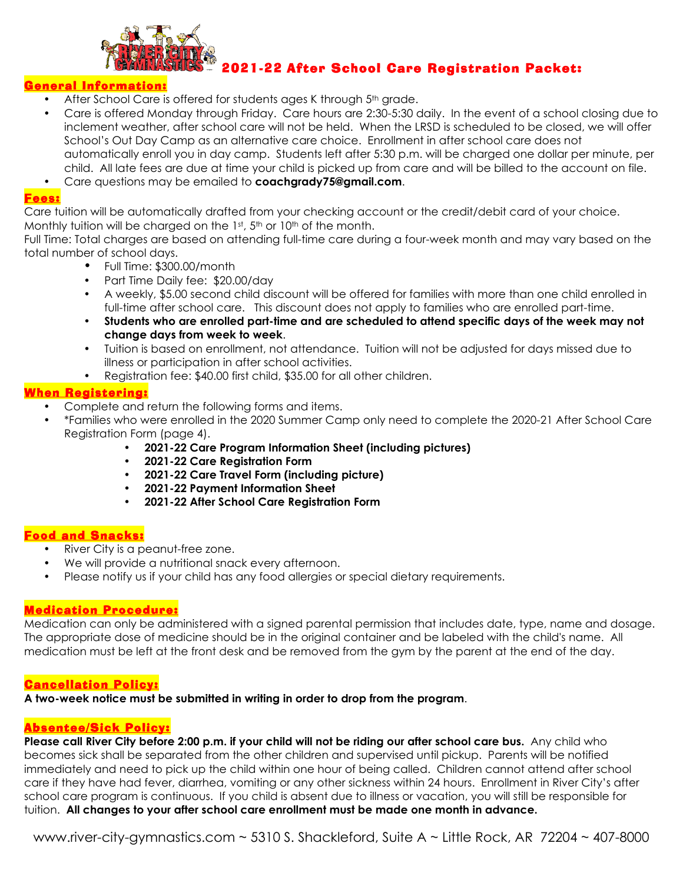

### 2021-22 After School Care Registration Packet:

### <mark>ieneral Informatio</mark>n:

- After School Care is offered for students ages K through 5<sup>th</sup> grade.
- Care is offered Monday through Friday. Care hours are 2:30-5:30 daily. In the event of a school closing due to inclement weather, after school care will not be held. When the LRSD is scheduled to be closed, we will offer School's Out Day Camp as an alternative care choice. Enrollment in after school care does not automatically enroll you in day camp. Students left after 5:30 p.m. will be charged one dollar per minute, per child. All late fees are due at time your child is picked up from care and will be billed to the account on file.
- Care questions may be emailed to **coachgrady75@gmail.com**.

### Fees:

Care tuition will be automatically drafted from your checking account or the credit/debit card of your choice. Monthly tuition will be charged on the 1st, 5th or 10th of the month.

Full Time: Total charges are based on attending full-time care during a four-week month and may vary based on the total number of school days.

- Full Time: \$300.00/month
- Part Time Daily fee: \$20.00/day
- A weekly, \$5.00 second child discount will be offered for families with more than one child enrolled in full-time after school care. This discount does not apply to families who are enrolled part-time.
- **Students who are enrolled part-time and are scheduled to attend specific days of the week may not change days from week to week**.
- Tuition is based on enrollment, not attendance. Tuition will not be adjusted for days missed due to illness or participation in after school activities.
- Registration fee: \$40.00 first child, \$35.00 for all other children.

### When Registering:

- Complete and return the following forms and items.
- \*Families who were enrolled in the 2020 Summer Camp only need to complete the 2020-21 After School Care Registration Form (page 4).
	- **2021-22 Care Program Information Sheet (including pictures)**
	- **2021-22 Care Registration Form**
	- **2021-22 Care Travel Form (including picture)**
	- **2021-22 Payment Information Sheet**
	- **2021-22 After School Care Registration Form**

### Food and Snacks:

- River City is a peanut-free zone.
- We will provide a nutritional snack every afternoon.
- Please notify us if your child has any food allergies or special dietary requirements.

### Medication Procedure:

Medication can only be administered with a signed parental permission that includes date, type, name and dosage. The appropriate dose of medicine should be in the original container and be labeled with the child's name. All medication must be left at the front desk and be removed from the gym by the parent at the end of the day.

### Cancellation Policy:

**A two-week notice must be submitted in writing in order to drop from the program**.

### Absentee/Sick Policy:

**Please call River City before 2:00 p.m. if your child will not be riding our after school care bus.** Any child who becomes sick shall be separated from the other children and supervised until pickup. Parents will be notified immediately and need to pick up the child within one hour of being called. Children cannot attend after school care if they have had fever, diarrhea, vomiting or any other sickness within 24 hours. Enrollment in River City's after school care program is continuous. If you child is absent due to illness or vacation, you will still be responsible for tuition. **All changes to your after school care enrollment must be made one month in advance.**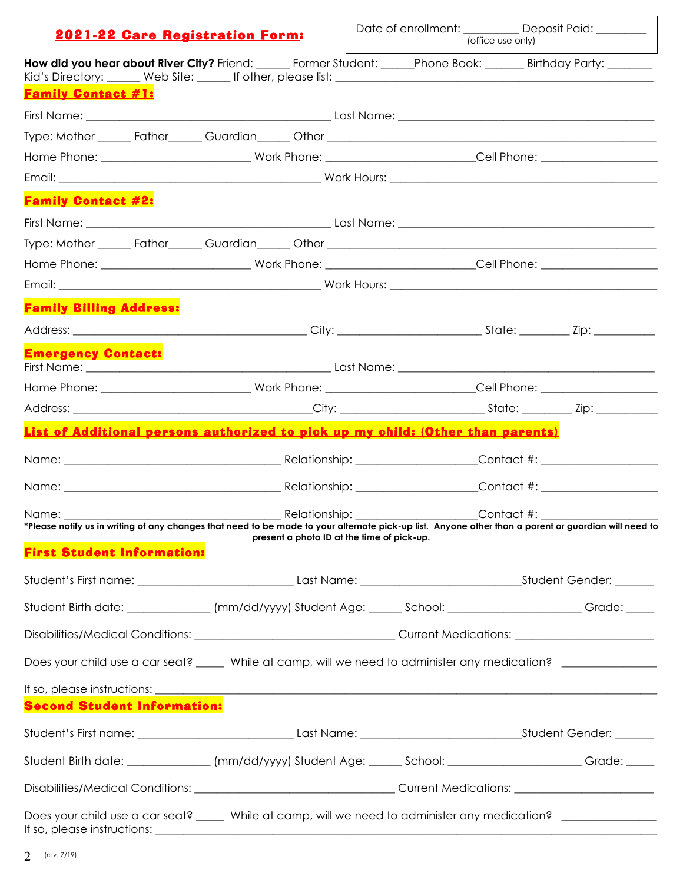### 2021-22 Care Registration Form:

| How did you hear about River City? Friend: ______ Former Student: ______Phone Book: _______ Birthday Party: _______                                                                                                                  |                                                                                                                |                                            |  |  |  |
|--------------------------------------------------------------------------------------------------------------------------------------------------------------------------------------------------------------------------------------|----------------------------------------------------------------------------------------------------------------|--------------------------------------------|--|--|--|
| <b>Family Contact #1:</b>                                                                                                                                                                                                            |                                                                                                                |                                            |  |  |  |
|                                                                                                                                                                                                                                      |                                                                                                                |                                            |  |  |  |
|                                                                                                                                                                                                                                      |                                                                                                                |                                            |  |  |  |
|                                                                                                                                                                                                                                      | Home Phone: _____________________________Work Phone: ___________________________Cell Phone: __________________ |                                            |  |  |  |
|                                                                                                                                                                                                                                      |                                                                                                                |                                            |  |  |  |
| <b>Family Contact #2:</b>                                                                                                                                                                                                            |                                                                                                                |                                            |  |  |  |
|                                                                                                                                                                                                                                      |                                                                                                                |                                            |  |  |  |
|                                                                                                                                                                                                                                      |                                                                                                                |                                            |  |  |  |
| Home Phone: _____________________________Work Phone: ___________________________Cell Phone: __________________                                                                                                                       |                                                                                                                |                                            |  |  |  |
|                                                                                                                                                                                                                                      |                                                                                                                |                                            |  |  |  |
| <b>Family Billing Address:</b>                                                                                                                                                                                                       |                                                                                                                |                                            |  |  |  |
|                                                                                                                                                                                                                                      |                                                                                                                |                                            |  |  |  |
| <b>Emergency Contact:</b>                                                                                                                                                                                                            |                                                                                                                |                                            |  |  |  |
| Home Phone: ______________________________Work Phone: __________________________Cell Phone: __________________                                                                                                                       |                                                                                                                |                                            |  |  |  |
|                                                                                                                                                                                                                                      |                                                                                                                |                                            |  |  |  |
| List of Additional persons authorized to pick up my child: (Other than parents)                                                                                                                                                      |                                                                                                                |                                            |  |  |  |
|                                                                                                                                                                                                                                      |                                                                                                                |                                            |  |  |  |
| Name: Contact #: Contact #:                                                                                                                                                                                                          |                                                                                                                |                                            |  |  |  |
| Name: Name<br>*Please notify us in writing of any changes that need to be made to your alternate pick-up list. Anyone other than a parent or guardian will need to                                                                   |                                                                                                                |                                            |  |  |  |
| <b>First Student Information:</b>                                                                                                                                                                                                    |                                                                                                                | present a photo ID at the time of pick-up. |  |  |  |
|                                                                                                                                                                                                                                      |                                                                                                                |                                            |  |  |  |
| Student Birth date: ______________ (mm/dd/yyyy) Student Age: ______ School: ______________________ Grade: ____                                                                                                                       |                                                                                                                |                                            |  |  |  |
|                                                                                                                                                                                                                                      |                                                                                                                |                                            |  |  |  |
| Does your child use a car seat? _____ While at camp, will we need to administer any medication? _____________                                                                                                                        |                                                                                                                |                                            |  |  |  |
| If so, please instructions: <u>example and a series of the series of the series of the series of the series of the series of the series of the series of the series of the series of the series of the series of the series of t</u> |                                                                                                                |                                            |  |  |  |
| <b>Second Student Information:</b>                                                                                                                                                                                                   |                                                                                                                |                                            |  |  |  |
|                                                                                                                                                                                                                                      |                                                                                                                |                                            |  |  |  |
| Student Birth date: ______________(mm/dd/yyyy) Student Age: ______ School: _______________________Grade: _____                                                                                                                       |                                                                                                                |                                            |  |  |  |
|                                                                                                                                                                                                                                      |                                                                                                                |                                            |  |  |  |
| Does your child use a car seat? _____ While at camp, will we need to administer any medication? _____________                                                                                                                        |                                                                                                                |                                            |  |  |  |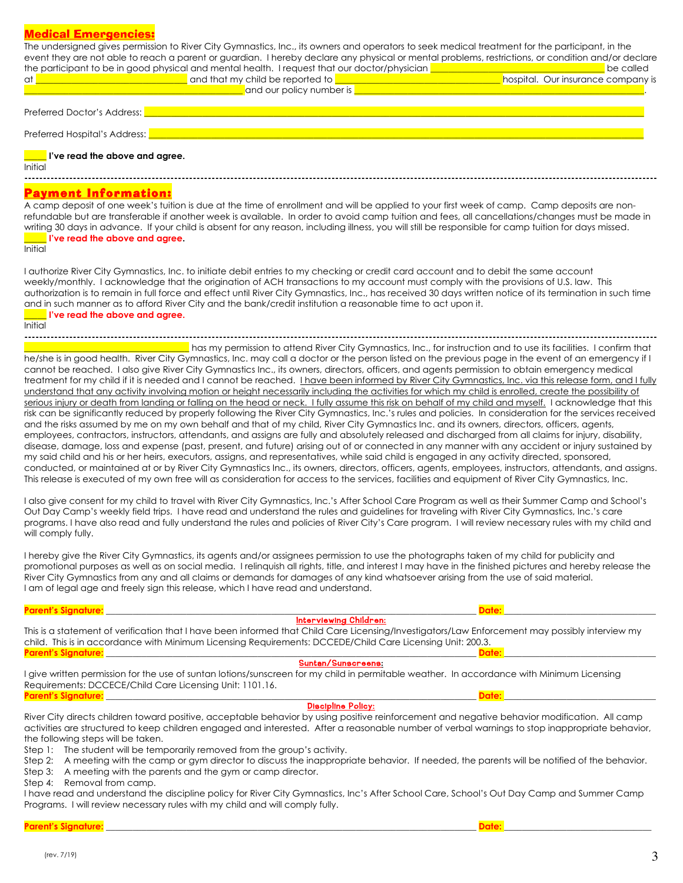### Medical Emergencies:

| <u> Medical Emergencies:</u><br>The undersigned gives permission to River City Gymnastics, Inc., its owners and operators to seek medical treatment for the participant, in the                                                                                                                                                                                                                                                                                                                                                                                                                                                                                                                                                                                                                                                                                                                                                                                                                                                                                                                                                                                                                                                                 |                                                 |
|-------------------------------------------------------------------------------------------------------------------------------------------------------------------------------------------------------------------------------------------------------------------------------------------------------------------------------------------------------------------------------------------------------------------------------------------------------------------------------------------------------------------------------------------------------------------------------------------------------------------------------------------------------------------------------------------------------------------------------------------------------------------------------------------------------------------------------------------------------------------------------------------------------------------------------------------------------------------------------------------------------------------------------------------------------------------------------------------------------------------------------------------------------------------------------------------------------------------------------------------------|-------------------------------------------------|
| event they are not able to reach a parent or guardian. I hereby declare any physical or mental problems, restrictions, or condition and/or declare                                                                                                                                                                                                                                                                                                                                                                                                                                                                                                                                                                                                                                                                                                                                                                                                                                                                                                                                                                                                                                                                                              |                                                 |
| the participant to be in good physical and mental health. I request that our doctor/physician <b>example 20</b> the<br>at <b>COVID-2000 COVID-2000</b> and that my child be reported to <b>COVID-2000 COVID-2000</b> COVID-2000 COVID-2000 COVID-2000                                                                                                                                                                                                                                                                                                                                                                                                                                                                                                                                                                                                                                                                                                                                                                                                                                                                                                                                                                                           | be called<br>hospital. Our insurance company is |
| <b>Example 2018</b> and our policy number is <b>D</b>                                                                                                                                                                                                                                                                                                                                                                                                                                                                                                                                                                                                                                                                                                                                                                                                                                                                                                                                                                                                                                                                                                                                                                                           |                                                 |
| Preferred Doctor's Address:                                                                                                                                                                                                                                                                                                                                                                                                                                                                                                                                                                                                                                                                                                                                                                                                                                                                                                                                                                                                                                                                                                                                                                                                                     |                                                 |
| Preferred Hospital's Address:                                                                                                                                                                                                                                                                                                                                                                                                                                                                                                                                                                                                                                                                                                                                                                                                                                                                                                                                                                                                                                                                                                                                                                                                                   |                                                 |
| I've read the above and agree.<br>Initial                                                                                                                                                                                                                                                                                                                                                                                                                                                                                                                                                                                                                                                                                                                                                                                                                                                                                                                                                                                                                                                                                                                                                                                                       |                                                 |
| <u> Payment Information:</u><br>A camp deposit of one week's tuition is due at the time of enrollment and will be applied to your first week of camp. Camp deposits are non-                                                                                                                                                                                                                                                                                                                                                                                                                                                                                                                                                                                                                                                                                                                                                                                                                                                                                                                                                                                                                                                                    |                                                 |
| refundable but are transferable if another week is available. In order to avoid camp tuition and fees, all cancellations/changes must be made in<br>writing 30 days in advance. If your child is absent for any reason, including illness, you will still be responsible for camp tuition for days missed.<br><u>See I</u> l've read the above and agree.<br>Initial                                                                                                                                                                                                                                                                                                                                                                                                                                                                                                                                                                                                                                                                                                                                                                                                                                                                            |                                                 |
| I authorize River City Gymnastics, Inc. to initiate debit entries to my checking or credit card account and to debit the same account<br>weekly/monthly. I acknowledge that the origination of ACH transactions to my account must comply with the provisions of U.S. law. This<br>authorization is to remain in full force and effect until River City Gymnastics, Inc., has received 30 days written notice of its termination in such time<br>and in such manner as to afford River City and the bank/credit institution a reasonable time to act upon it.<br>$\blacksquare$ I've read the above and agree.<br>Initial                                                                                                                                                                                                                                                                                                                                                                                                                                                                                                                                                                                                                       |                                                 |
| has my permission to attend River City Gymnastics, Inc., for instruction and to use its facilities. I confirm that                                                                                                                                                                                                                                                                                                                                                                                                                                                                                                                                                                                                                                                                                                                                                                                                                                                                                                                                                                                                                                                                                                                              |                                                 |
| he/she is in good health. River City Gymnastics, Inc. may call a doctor or the person listed on the previous page in the event of an emergency if I<br>cannot be reached. I also give River City Gymnastics Inc., its owners, directors, officers, and agents permission to obtain emergency medical<br>treatment for my child if it is needed and I cannot be reached. <i>I have been informed by River City Gymnastics</i> , Inc. via this release form, and I fully<br>understand that any activity involving motion or height necessarily including the activities for which my child is enrolled, create the possibility of                                                                                                                                                                                                                                                                                                                                                                                                                                                                                                                                                                                                                |                                                 |
| serious injury or death from landing or falling on the head or neck. I fully assume this risk on behalf of my child and myself. I acknowledge that this<br>risk can be significantly reduced by properly following the River City Gymnastics, Inc.'s rules and policies. In consideration for the services received<br>and the risks assumed by me on my own behalf and that of my child, River City Gymnastics Inc. and its owners, directors, officers, agents,<br>employees, contractors, instructors, attendants, and assigns are fully and absolutely released and discharged from all claims for injury, disability,<br>disease, damage, loss and expense (past, present, and future) arising out of or connected in any manner with any accident or injury sustained by<br>my said child and his or her heirs, executors, assigns, and representatives, while said child is engaged in any activity directed, sponsored,<br>conducted, or maintained at or by River City Gymnastics Inc., its owners, directors, officers, agents, employees, instructors, attendants, and assigns.<br>This release is executed of my own free will as consideration for access to the services, facilities and equipment of River City Gymnastics, Inc. |                                                 |
| I also give consent for my child to travel with River City Gymnastics, Inc.'s After School Care Program as well as their Summer Camp and School's<br>Out Day Camp's weekly field trips. I have read and understand the rules and guidelines for traveling with River City Gymnastics, Inc.'s care<br>programs. I have also read and fully understand the rules and policies of River City's Care program. I will review necessary rules with my child and<br>will comply fully.                                                                                                                                                                                                                                                                                                                                                                                                                                                                                                                                                                                                                                                                                                                                                                 |                                                 |
| I hereby give the River City Gymnastics, its agents and/or assignees permission to use the photographs taken of my child for publicity and<br>promotional purposes as well as on social media. I relinquish all rights, title, and interest I may have in the finished pictures and hereby release the<br>River City Gymnastics from any and all claims or demands for damages of any kind whatsoever arising from the use of said material.<br>I am of legal age and freely sign this release, which I have read and understand.                                                                                                                                                                                                                                                                                                                                                                                                                                                                                                                                                                                                                                                                                                               |                                                 |
| <b>Parent's Signature:</b><br>Date:                                                                                                                                                                                                                                                                                                                                                                                                                                                                                                                                                                                                                                                                                                                                                                                                                                                                                                                                                                                                                                                                                                                                                                                                             |                                                 |
| <b>Interviewing Children:</b><br>This is a statement of verification that I have been informed that Child Care Licensing/Investigators/Law Enforcement may possibly interview my<br>child. This is in accordance with Minimum Licensing Requirements: DCCEDE/Child Care Licensing Unit: 200.3.<br><b>Parent's Signature:</b><br>Date:                                                                                                                                                                                                                                                                                                                                                                                                                                                                                                                                                                                                                                                                                                                                                                                                                                                                                                           |                                                 |
| Suntan/Sunscreens:                                                                                                                                                                                                                                                                                                                                                                                                                                                                                                                                                                                                                                                                                                                                                                                                                                                                                                                                                                                                                                                                                                                                                                                                                              |                                                 |
| I give written permission for the use of suntan lotions/sunscreen for my child in permitable weather. In accordance with Minimum Licensing<br>Requirements: DCCECE/Child Care Licensing Unit: 1101.16.<br>Date:                                                                                                                                                                                                                                                                                                                                                                                                                                                                                                                                                                                                                                                                                                                                                                                                                                                                                                                                                                                                                                 |                                                 |
| <u> Parent's Signature: __________________________________</u><br><b>Discipline Policy:</b>                                                                                                                                                                                                                                                                                                                                                                                                                                                                                                                                                                                                                                                                                                                                                                                                                                                                                                                                                                                                                                                                                                                                                     |                                                 |
| River City directs children toward positive, acceptable behavior by using positive reinforcement and negative behavior modification. All camp<br>activities are structured to keep children engaged and interested. After a reasonable number of verbal warnings to stop inappropriate behavior,<br>the following steps will be taken.                                                                                                                                                                                                                                                                                                                                                                                                                                                                                                                                                                                                                                                                                                                                                                                                                                                                                                          |                                                 |

Step 1: The student will be temporarily removed from the group's activity.

Step 2: A meeting with the camp or gym director to discuss the inappropriate behavior. If needed, the parents will be notified of the behavior.

Step 3: A meeting with the parents and the gym or camp director.

Step 4: Removal from camp.

I have read and understand the discipline policy for River City Gymnastics, Inc's After School Care, School's Out Day Camp and Summer Camp Programs. I will review necessary rules with my child and will comply fully.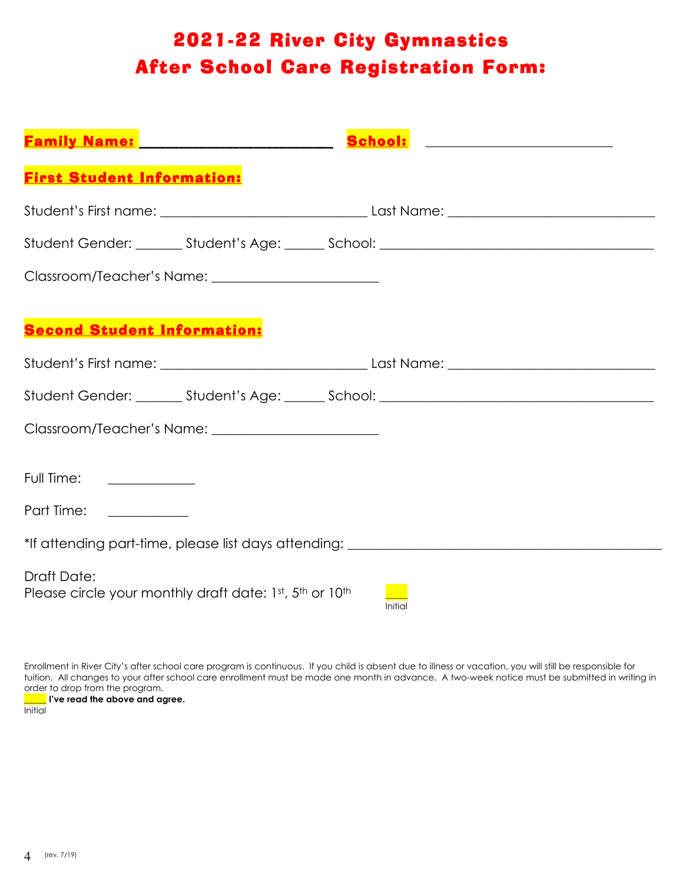## 2021-22 River City Gymnastics After School Care Registration Form:

| <b>Family Name:</b> 2008.000 2009                                                 |  |  |  |  |  |
|-----------------------------------------------------------------------------------|--|--|--|--|--|
| <b>First Student Information:</b>                                                 |  |  |  |  |  |
|                                                                                   |  |  |  |  |  |
|                                                                                   |  |  |  |  |  |
|                                                                                   |  |  |  |  |  |
|                                                                                   |  |  |  |  |  |
| <b>Second Student Information:</b>                                                |  |  |  |  |  |
|                                                                                   |  |  |  |  |  |
|                                                                                   |  |  |  |  |  |
|                                                                                   |  |  |  |  |  |
| Full Time: <u>___________</u>                                                     |  |  |  |  |  |
| Part Time:                                                                        |  |  |  |  |  |
|                                                                                   |  |  |  |  |  |
| *If attending part-time, please list days attending: ___________________________  |  |  |  |  |  |
| Draft Date:<br>Please circle your monthly draft date: 1st, 5th or 10th<br>Initial |  |  |  |  |  |

Enrollment in River City's after school care program is continuous. If you child is absent due to illness or vacation, you will still be responsible for tuition. All changes to your after school care enrollment must be made one month in advance. A two-week notice must be submitted in writing in order to drop from the program. **\_\_\_\_\_ I've read the above and agree.**

**Initial**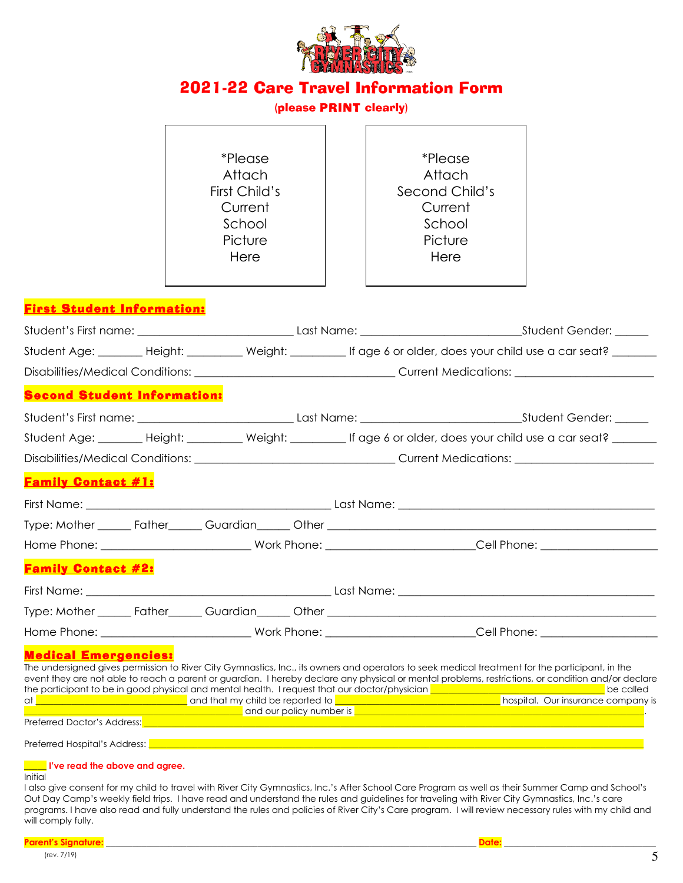

 $\mathbf{r}$ 

### 2021-22 Care Travel Information Form

### (please PRINT clearly)

 $\overline{\mathbf{u}}$ 

| <i>*Please</i> | <i>*Please</i> |
|----------------|----------------|
| Attach         | Attach         |
| First Child's  | Second Child's |
| Current        | Current        |
| School         | School         |
| Picture        | Picture        |
| Here           | Here           |
|                |                |
|                |                |

### First Student Information:

|                                    |  |                                                                                                                 |  | Student Age: ________ Height: __________ Weight: __________ If age 6 or older, does your child use a car seat? _______                                                                                                                                                                                |  |  |
|------------------------------------|--|-----------------------------------------------------------------------------------------------------------------|--|-------------------------------------------------------------------------------------------------------------------------------------------------------------------------------------------------------------------------------------------------------------------------------------------------------|--|--|
|                                    |  |                                                                                                                 |  |                                                                                                                                                                                                                                                                                                       |  |  |
| <b>Second Student Information:</b> |  |                                                                                                                 |  |                                                                                                                                                                                                                                                                                                       |  |  |
|                                    |  |                                                                                                                 |  |                                                                                                                                                                                                                                                                                                       |  |  |
|                                    |  |                                                                                                                 |  | Student Age: ________ Height: __________ Weight: __________ If age 6 or older, does your child use a car seat? _______                                                                                                                                                                                |  |  |
|                                    |  |                                                                                                                 |  |                                                                                                                                                                                                                                                                                                       |  |  |
| <b>Family Contact #1:</b>          |  |                                                                                                                 |  |                                                                                                                                                                                                                                                                                                       |  |  |
|                                    |  |                                                                                                                 |  |                                                                                                                                                                                                                                                                                                       |  |  |
|                                    |  |                                                                                                                 |  |                                                                                                                                                                                                                                                                                                       |  |  |
|                                    |  |                                                                                                                 |  |                                                                                                                                                                                                                                                                                                       |  |  |
| <b>Family Contact #2:</b>          |  |                                                                                                                 |  |                                                                                                                                                                                                                                                                                                       |  |  |
|                                    |  |                                                                                                                 |  |                                                                                                                                                                                                                                                                                                       |  |  |
|                                    |  |                                                                                                                 |  |                                                                                                                                                                                                                                                                                                       |  |  |
|                                    |  |                                                                                                                 |  |                                                                                                                                                                                                                                                                                                       |  |  |
| <b>Medical Emergencies:</b>        |  |                                                                                                                 |  |                                                                                                                                                                                                                                                                                                       |  |  |
|                                    |  |                                                                                                                 |  | The undersigned gives permission to River City Gymnastics, Inc., its owners and operators to seek medical treatment for the participant, in the<br>event they are not able to reach a parent or guardian. I hereby declare any physical or mental problems, restrictions, or condition and/or declare |  |  |
|                                    |  |                                                                                                                 |  | the participant to be in good physical and mental health. I request that our doctor/physician <b>we are also assumed that an</b> be called at <b>a</b> hospital. Our insurance company is                                                                                                             |  |  |
|                                    |  |                                                                                                                 |  | <b>Example 2016</b> and our policy number is <b>Example 2016</b> and the control of the control of the control of the control of the control of the control of the control of the control of the control of the control of the control o                                                              |  |  |
|                                    |  | Preferred Doctor's Address: National Account of the Contract of the Contract of the Contract of the Contract of |  |                                                                                                                                                                                                                                                                                                       |  |  |

Preferred Hospital's Address: **Legendial** 

#### **\_\_\_\_\_ I've read the above and agree.**

#### Initial

I also give consent for my child to travel with River City Gymnastics, Inc.'s After School Care Program as well as their Summer Camp and School's Out Day Camp's weekly field trips. I have read and understand the rules and guidelines for traveling with River City Gymnastics, Inc.'s care programs. I have also read and fully understand the rules and policies of River City's Care program. I will review necessary rules with my child and will comply fully.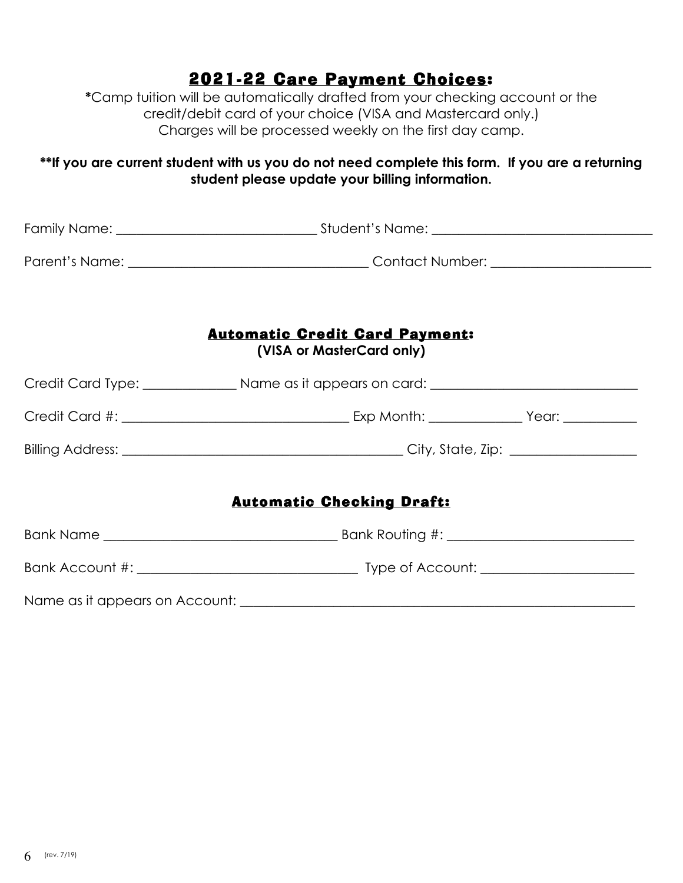### 2021-22 Care Payment Choices:

**\***Camp tuition will be automatically drafted from your checking account or the credit/debit card of your choice (VISA and Mastercard only.) Charges will be processed weekly on the first day camp.

### **\*\*If you are current student with us you do not need complete this form. If you are a returning student please update your billing information.**

| <b>Automatic Credit Card Payment:</b><br>(VISA or MasterCard only)                                   |  |  |  |  |
|------------------------------------------------------------------------------------------------------|--|--|--|--|
| Credit Card Type: ________________________ Name as it appears on card: _____________________________ |  |  |  |  |
|                                                                                                      |  |  |  |  |
|                                                                                                      |  |  |  |  |
| <b>Automatic Checking Draft:</b>                                                                     |  |  |  |  |
|                                                                                                      |  |  |  |  |
|                                                                                                      |  |  |  |  |
|                                                                                                      |  |  |  |  |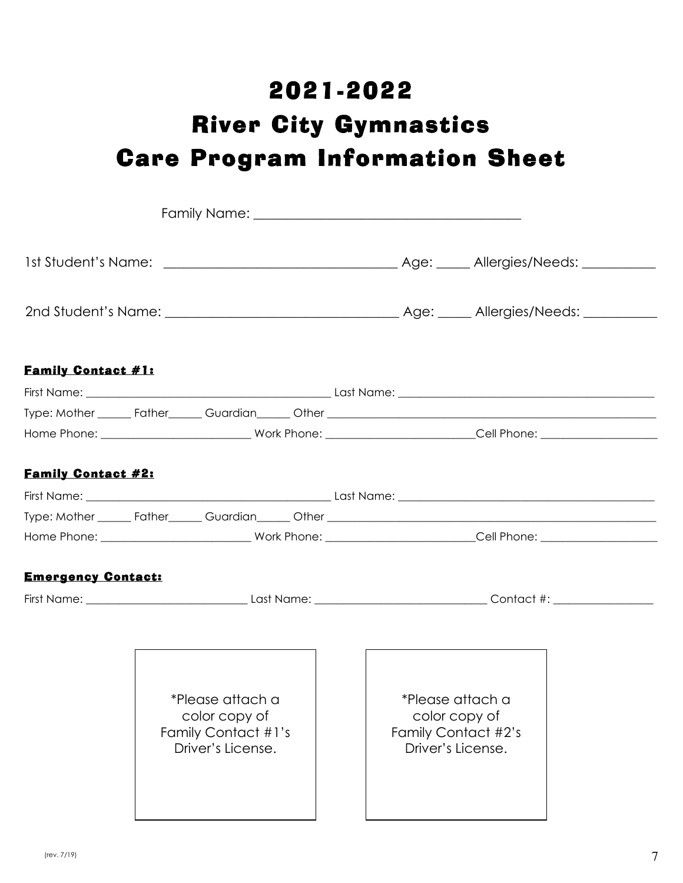# 2021-2022 River City Gymnastics Care Program Information Sheet

| <b>Family Contact #1:</b> |  |                                   |  |  |  |                                   |  |
|---------------------------|--|-----------------------------------|--|--|--|-----------------------------------|--|
|                           |  |                                   |  |  |  |                                   |  |
|                           |  |                                   |  |  |  |                                   |  |
|                           |  |                                   |  |  |  |                                   |  |
|                           |  |                                   |  |  |  |                                   |  |
| <b>Family Contact #2:</b> |  |                                   |  |  |  |                                   |  |
|                           |  |                                   |  |  |  |                                   |  |
|                           |  |                                   |  |  |  |                                   |  |
|                           |  |                                   |  |  |  |                                   |  |
| <b>Emergency Contact:</b> |  |                                   |  |  |  |                                   |  |
|                           |  |                                   |  |  |  |                                   |  |
|                           |  |                                   |  |  |  |                                   |  |
|                           |  |                                   |  |  |  |                                   |  |
|                           |  |                                   |  |  |  |                                   |  |
|                           |  |                                   |  |  |  |                                   |  |
|                           |  | *Please attach a<br>color copy of |  |  |  | *Please attach a<br>color copy of |  |
|                           |  | Family Contact #1's               |  |  |  | Family Contact #2's               |  |
|                           |  | Driver's License.                 |  |  |  | Driver's License.                 |  |
|                           |  |                                   |  |  |  |                                   |  |
|                           |  |                                   |  |  |  |                                   |  |
|                           |  |                                   |  |  |  |                                   |  |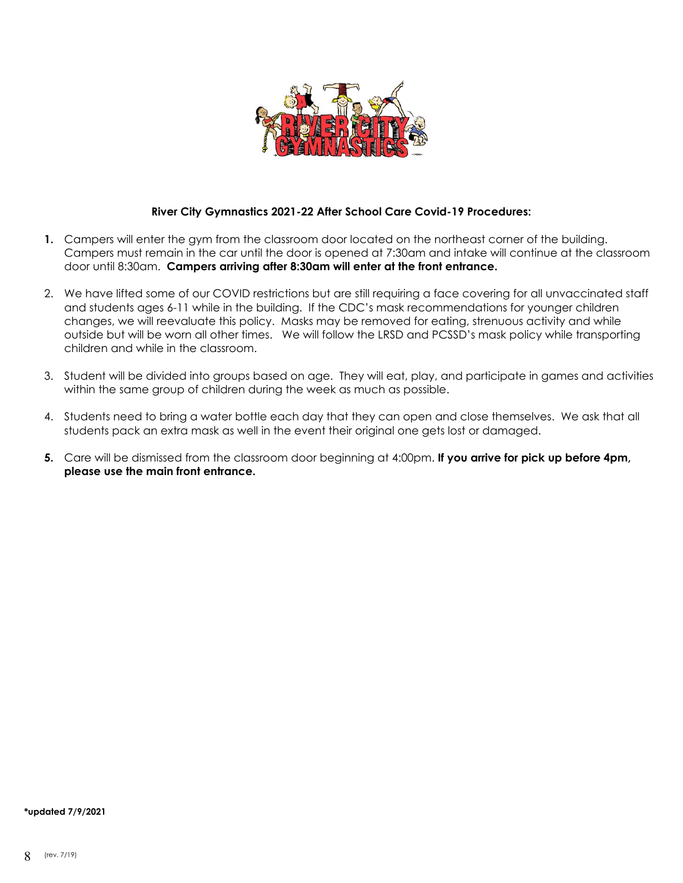

### **River City Gymnastics 2021-22 After School Care Covid-19 Procedures:**

- **1.** Campers will enter the gym from the classroom door located on the northeast corner of the building. Campers must remain in the car until the door is opened at 7:30am and intake will continue at the classroom door until 8:30am. **Campers arriving after 8:30am will enter at the front entrance.**
- 2. We have lifted some of our COVID restrictions but are still requiring a face covering for all unvaccinated staff and students ages 6-11 while in the building. If the CDC's mask recommendations for younger children changes, we will reevaluate this policy. Masks may be removed for eating, strenuous activity and while outside but will be worn all other times. We will follow the LRSD and PCSSD's mask policy while transporting children and while in the classroom.
- 3. Student will be divided into groups based on age. They will eat, play, and participate in games and activities within the same group of children during the week as much as possible.
- 4. Students need to bring a water bottle each day that they can open and close themselves. We ask that all students pack an extra mask as well in the event their original one gets lost or damaged.
- **5.** Care will be dismissed from the classroom door beginning at 4:00pm. **If you arrive for pick up before 4pm, please use the main front entrance.**